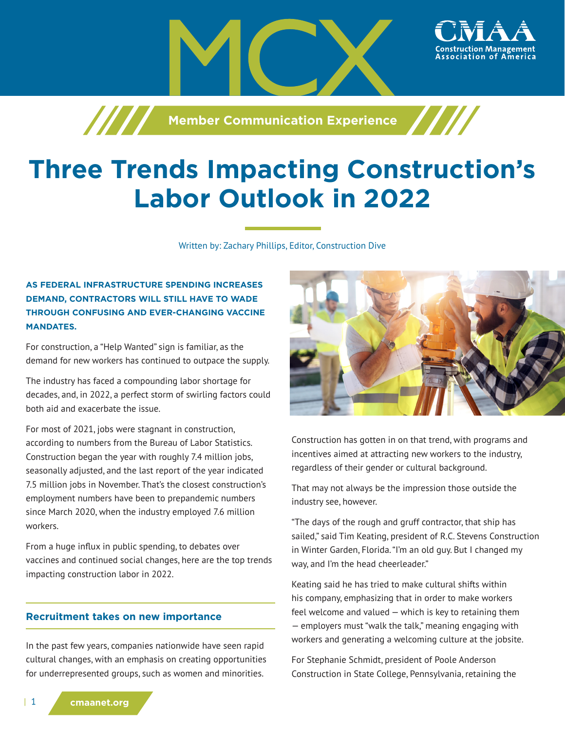

# **Three Trends Impacting Construction's Labor Outlook in 2022**

Written by: Zachary Phillips, Editor, Construction Dive

## **AS FEDERAL INFRASTRUCTURE SPENDING INCREASES DEMAND, CONTRACTORS WILL STILL HAVE TO WADE THROUGH CONFUSING AND EVER-CHANGING VACCINE MANDATES.**

For construction, a "Help Wanted" sign is familiar, as the demand for new workers has continued to outpace the supply.

The industry has faced a compounding labor shortage for decades, and, in 2022, a perfect storm of swirling factors could both aid and exacerbate the issue.

For most of 2021, jobs were stagnant in construction, according to numbers from the Bureau of Labor Statistics. Construction began the year with roughly 7.4 million jobs, seasonally adjusted, and the last report of the year indicated 7.5 million jobs in November. That's the closest construction's employment numbers have been to prepandemic numbers since March 2020, when the industry employed 7.6 million workers.

From a huge influx in public spending, to debates over vaccines and continued social changes, here are the top trends impacting construction labor in 2022.

#### **Recruitment takes on new importance**

In the past few years, companies nationwide have seen rapid cultural changes, with an emphasis on creating opportunities for underrepresented groups, such as women and minorities.



ssociation of

Construction has gotten in on that trend, with programs and incentives aimed at attracting new workers to the industry, regardless of their gender or cultural background.

That may not always be the impression those outside the industry see, however.

"The days of the rough and gruff contractor, that ship has sailed," said Tim Keating, president of R.C. Stevens Construction in Winter Garden, Florida. "I'm an old guy. But I changed my way, and I'm the head cheerleader."

Keating said he has tried to make cultural shifts within his company, emphasizing that in order to make workers feel welcome and valued — which is key to retaining them — employers must "walk the talk," meaning engaging with workers and generating a welcoming culture at the jobsite.

For Stephanie Schmidt, president of Poole Anderson Construction in State College, Pennsylvania, retaining the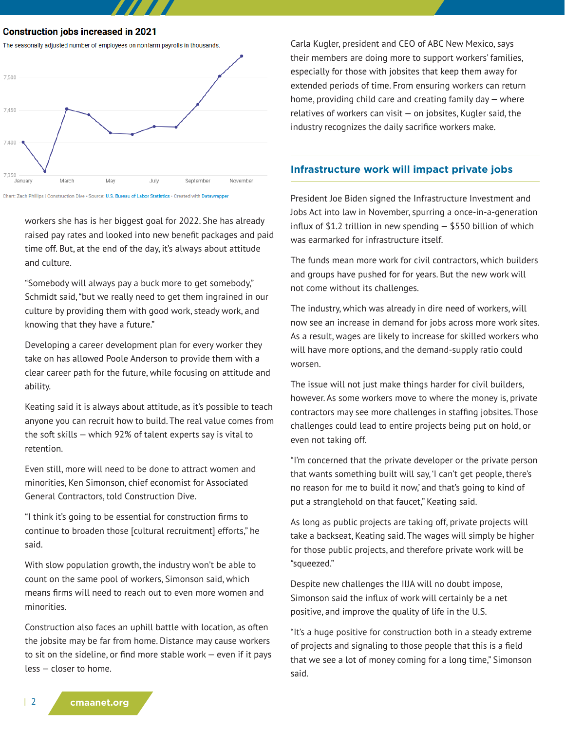**Construction jobs increased in 2021** 



Chart: Zach Phillips | Construction Dive · Source: U.S. Bureau of Labor Statistics · Created with Datawrapper

workers she has is her biggest goal for 2022. She has already raised pay rates and looked into new benefit packages and paid time off. But, at the end of the day, it's always about attitude and culture.

"Somebody will always pay a buck more to get somebody," Schmidt said, "but we really need to get them ingrained in our culture by providing them with good work, steady work, and knowing that they have a future."

Developing a career development plan for every worker they take on has allowed Poole Anderson to provide them with a clear career path for the future, while focusing on attitude and ability.

Keating said it is always about attitude, as it's possible to teach anyone you can recruit how to build. The real value comes from the soft skills — which 92% of talent experts say is vital to retention.

Even still, more will need to be done to attract women and minorities, Ken Simonson, chief economist for Associated General Contractors, told Construction Dive.

"I think it's going to be essential for construction firms to continue to broaden those [cultural recruitment] efforts," he said.

With slow population growth, the industry won't be able to count on the same pool of workers, Simonson said, which means firms will need to reach out to even more women and minorities.

Construction also faces an uphill battle with location, as often the jobsite may be far from home. Distance may cause workers to sit on the sideline, or find more stable work — even if it pays less — closer to home.

Carla Kugler, president and CEO of ABC New Mexico, says their members are doing more to support workers' families, especially for those with jobsites that keep them away for extended periods of time. From ensuring workers can return home, providing child care and creating family day — where relatives of workers can visit — on jobsites, Kugler said, the industry recognizes the daily sacrifice workers make.

#### **Infrastructure work will impact private jobs**

President Joe Biden signed the Infrastructure Investment and Jobs Act into law in November, spurring a once-in-a-generation influx of \$1.2 trillion in new spending — \$550 billion of which was earmarked for infrastructure itself.

The funds mean more work for civil contractors, which builders and groups have pushed for for years. But the new work will not come without its challenges.

The industry, which was already in dire need of workers, will now see an increase in demand for jobs across more work sites. As a result, wages are likely to increase for skilled workers who will have more options, and the demand-supply ratio could worsen.

The issue will not just make things harder for civil builders, however. As some workers move to where the money is, private contractors may see more challenges in staffing jobsites. Those challenges could lead to entire projects being put on hold, or even not taking off.

"I'm concerned that the private developer or the private person that wants something built will say, 'I can't get people, there's no reason for me to build it now,' and that's going to kind of put a stranglehold on that faucet," Keating said.

As long as public projects are taking off, private projects will take a backseat, Keating said. The wages will simply be higher for those public projects, and therefore private work will be "squeezed."

Despite new challenges the IIJA will no doubt impose, Simonson said the influx of work will certainly be a net positive, and improve the quality of life in the U.S.

"It's a huge positive for construction both in a steady extreme of projects and signaling to those people that this is a field that we see a lot of money coming for a long time," Simonson said.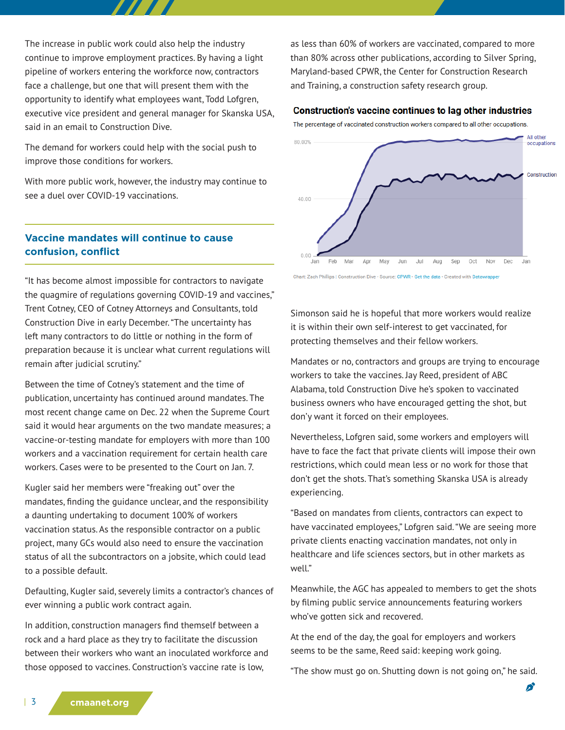The increase in public work could also help the industry continue to improve employment practices. By having a light pipeline of workers entering the workforce now, contractors face a challenge, but one that will present them with the opportunity to identify what employees want, Todd Lofgren, executive vice president and general manager for Skanska USA, said in an email to Construction Dive.

The demand for workers could help with the social push to improve those conditions for workers.

With more public work, however, the industry may continue to see a duel over COVID-19 vaccinations.

## as less than 60% of workers are vaccinated, compared to more than 80% across other publications, according to Silver Spring, Maryland-based CPWR, the Center for Construction Research and Training, a construction safety research group.

#### **Construction's vaccine continues to lag other industries**

The percentage of vaccinated construction workers compared to all other occupations.



# **Vaccine mandates will continue to cause confusion, conflict**

"It has become almost impossible for contractors to navigate the quagmire of regulations governing COVID-19 and vaccines," Trent Cotney, CEO of Cotney Attorneys and Consultants, told Construction Dive in early December. "The uncertainty has left many contractors to do little or nothing in the form of preparation because it is unclear what current regulations will remain after judicial scrutiny."

Between the time of Cotney's statement and the time of publication, uncertainty has continued around mandates. The most recent change came on Dec. 22 when the Supreme Court said it would hear arguments on the two mandate measures; a vaccine-or-testing mandate for employers with more than 100 workers and a vaccination requirement for certain health care workers. Cases were to be presented to the Court on Jan. 7.

Kugler said her members were "freaking out" over the mandates, finding the guidance unclear, and the responsibility a daunting undertaking to document 100% of workers vaccination status. As the responsible contractor on a public project, many GCs would also need to ensure the vaccination status of all the subcontractors on a jobsite, which could lead to a possible default.

Defaulting, Kugler said, severely limits a contractor's chances of ever winning a public work contract again.

In addition, construction managers find themself between a rock and a hard place as they try to facilitate the discussion between their workers who want an inoculated workforce and those opposed to vaccines. Construction's vaccine rate is low,

Simonson said he is hopeful that more workers would realize it is within their own self-interest to get vaccinated, for protecting themselves and their fellow workers.

Mandates or no, contractors and groups are trying to encourage workers to take the vaccines. Jay Reed, president of ABC Alabama, told Construction Dive he's spoken to vaccinated business owners who have encouraged getting the shot, but don'y want it forced on their employees.

Nevertheless, Lofgren said, some workers and employers will have to face the fact that private clients will impose their own restrictions, which could mean less or no work for those that don't get the shots. That's something Skanska USA is already experiencing.

"Based on mandates from clients, contractors can expect to have vaccinated employees," Lofgren said. "We are seeing more private clients enacting vaccination mandates, not only in healthcare and life sciences sectors, but in other markets as well."

Meanwhile, the AGC has appealed to members to get the shots by filming public service announcements featuring workers who've gotten sick and recovered.

At the end of the day, the goal for employers and workers seems to be the same, Reed said: keeping work going.

"The show must go on. Shutting down is not going on," he said.